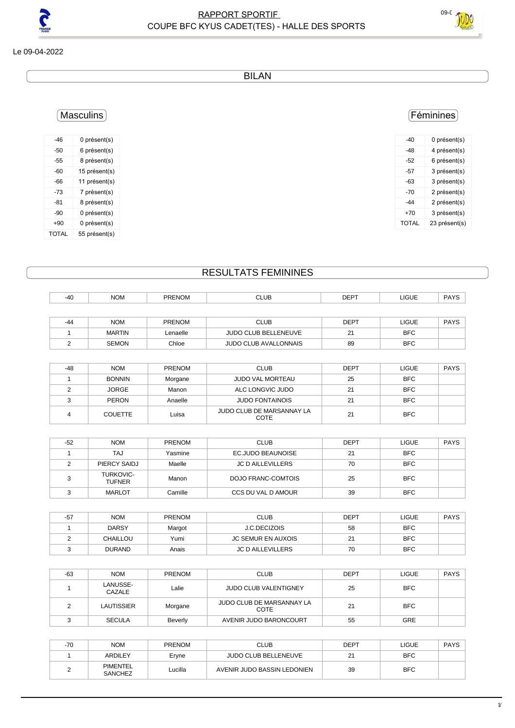

Le 09-04-2022

BILAN

#### Féminines

| -40   | 0 présent(s)  |
|-------|---------------|
| -48   | 4 présent(s)  |
| -52   | 6 présent(s)  |
| -57   | 3 présent(s)  |
| -63   | 3 présent(s)  |
| -70   | 2 présent(s)  |
| $-44$ | 2 présent(s)  |
| +70   | 3 présent(s)  |
| TOTAL | 23 présent(s) |
|       |               |

#### Masculins

| -46   | 0 présent(s)  |
|-------|---------------|
| -50   | 6 présent(s)  |
| -55   | 8 présent(s)  |
| -60   | 15 présent(s) |
| -66   | 11 présent(s) |
| -73   | 7 présent(s)  |
| -81   | 8 présent(s)  |
| -90   | 0 présent(s)  |
| +90   | 0 présent(s)  |
| TOTAL | 55 présent(s) |

#### RESULTATS FEMININES

| -40   | <b>NOM</b>    | <b>PRENOM</b> | <b>CLUB</b>                  | <b>DEPT</b> | LIGUE      | <b>PAYS</b> |
|-------|---------------|---------------|------------------------------|-------------|------------|-------------|
|       |               |               |                              |             |            |             |
| $-44$ | <b>NOM</b>    | <b>PRENOM</b> | <b>CLUB</b>                  | <b>DEPT</b> | LIGUE      | <b>PAYS</b> |
|       | <b>MARTIN</b> | Lenaelle      | <b>JUDO CLUB BELLENEUVE</b>  | 21          | <b>BFC</b> |             |
|       | <b>SEMON</b>  | Chloe         | <b>JUDO CLUB AVALLONNAIS</b> | 89          | <b>BFC</b> |             |

| -48 | <b>NOM</b>     | <b>PRENOM</b> | <b>CLUB</b>                       | <b>DEPT</b> | <b>LIGUE</b> | <b>PAYS</b> |
|-----|----------------|---------------|-----------------------------------|-------------|--------------|-------------|
|     | <b>BONNIN</b>  | Morgane       | <b>JUDO VAL MORTEAU</b>           | 25          | <b>BFC</b>   |             |
|     | <b>JORGE</b>   | Manon         | ALC LONGVIC JUDO                  | 21          | <b>BFC</b>   |             |
|     | <b>PERON</b>   | Anaelle       | <b>JUDO FONTAINOIS</b>            | 21          | <b>BFC</b>   |             |
|     | <b>COUETTE</b> | Luisa         | JUDO CLUB DE MARSANNAY LA<br>COTE | 21          | <b>BFC</b>   |             |

| $-52$ | <b>NOM</b>                        | <b>PRENOM</b> | <b>CLUB</b>              | <b>DEPT</b> | <b>LIGUE</b> | <b>PAYS</b> |
|-------|-----------------------------------|---------------|--------------------------|-------------|--------------|-------------|
|       | TAJ                               | Yasmine       | EC.JUDO BEAUNOISE        | 21          | <b>BFC</b>   |             |
|       | PIERCY SAIDJ                      | Maelle        | <b>JC D AILLEVILLERS</b> | 70          | BFC          |             |
|       | <b>TURKOVIC-</b><br><b>TUFNER</b> | Manon         | DOJO FRANC-COMTOIS       | 25          | <b>BFC</b>   |             |
|       | <b>MARLOT</b>                     | Camille       | CCS DU VAL D AMOUR       | 39          | <b>BFC</b>   |             |

| $-57$ | <b>NOM</b>    | <b>PRENOM</b> | <b>CLUB</b>               | DEPT    | LIGUE      | <b>PAYS</b> |
|-------|---------------|---------------|---------------------------|---------|------------|-------------|
|       | <b>DARSY</b>  | Margot        | <b>J.C.DECIZOIS</b>       | 58      | <b>BFC</b> |             |
|       | CHAILLOU      | Yumi          | <b>JC SEMUR EN AUXOIS</b> | 21<br>▵ | <b>BFC</b> |             |
|       | <b>DURAND</b> | Anais         | <b>JC D AILLEVILLERS</b>  | 70      | <b>BFC</b> |             |

| -63 | <b>NOM</b>         | <b>PRENOM</b> | <b>CLUB</b>                       | <b>DEPT</b> | <b>LIGUE</b> | <b>PAYS</b> |
|-----|--------------------|---------------|-----------------------------------|-------------|--------------|-------------|
|     | LANUSSE-<br>CAZALE | Lalie         | <b>JUDO CLUB VALENTIGNEY</b>      | 25          | <b>BFC</b>   |             |
|     | <b>LAUTISSIER</b>  | Morgane       | JUDO CLUB DE MARSANNAY LA<br>COTE | 21          | <b>BFC</b>   |             |
|     | <b>SECULA</b>      | Beverly       | AVENIR JUDO BARONCOURT            | 55          | <b>GRE</b>   |             |

| $-70$ | <b>NOM</b>          | <b>PRENOM</b> | <b>CLUB</b>                 | DEPT | LIGUE      | <b>PAYS</b> |
|-------|---------------------|---------------|-----------------------------|------|------------|-------------|
|       | <b>ARDILEY</b>      | Eryne         | JUDO CLUB BELLENEUVE        | ∼    | <b>BFC</b> |             |
|       | PIMENTEL<br>SANCHEZ | ∟ucilla       | AVENIR JUDO BASSIN LEDONIEN | 39   | <b>BFC</b> |             |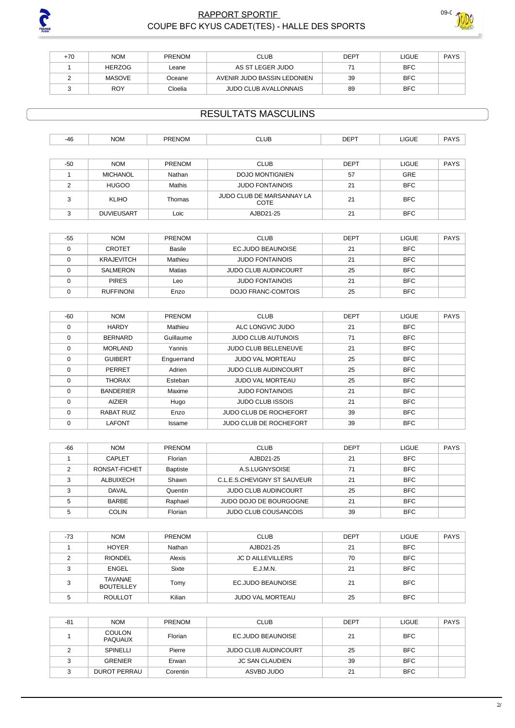

### RAPPORT SPORTIF <sup>09-0</sup> COUPE BFC KYUS CADET(TES) - HALLE DES SPORTS



| $+70$ | <b>NOM</b>    | <b>PRENOM</b> | <b>CLUB</b>                  | <b>DEPT</b> | LIGUE      | <b>PAYS</b> |
|-------|---------------|---------------|------------------------------|-------------|------------|-------------|
|       | <b>HERZOG</b> | Leane         | AS ST LEGER JUDO             |             | <b>BFC</b> |             |
|       | MASOVE        | Oceane        | AVENIR JUDO BASSIN LEDONIEN  | 39          | <b>BFC</b> |             |
|       | <b>ROY</b>    | Cloelia       | <b>JUDO CLUB AVALLONNAIS</b> | 89          | <b>BFC</b> |             |

## RESULTATS MASCULINS

| $-46$ | <b>NOM</b> | <b>DDENION</b> | <b>CLUB</b> | <b>DEPT</b> | <b>LIGUE</b><br>___ |  |
|-------|------------|----------------|-------------|-------------|---------------------|--|
|       |            |                |             |             |                     |  |

| $-50$ | <b>NOM</b>        | <b>PRENOM</b> | <b>CLUB</b>                              | <b>DEPT</b> | LIGUE      | <b>PAYS</b> |  |
|-------|-------------------|---------------|------------------------------------------|-------------|------------|-------------|--|
|       | MICHANOL          | Nathan        | <b>DOJO MONTIGNIEN</b>                   | 57          | <b>GRE</b> |             |  |
|       | <b>HUGOO</b>      | Mathis        | <b>JUDO FONTAINOIS</b>                   | 21          | <b>BFC</b> |             |  |
|       | <b>KLIHO</b>      | Thomas        | JUDO CLUB DE MARSANNAY LA<br><b>COTE</b> | 21          | <b>BFC</b> |             |  |
|       | <b>DUVIEUSART</b> | Loic          | AJBD21-25                                | 21          | <b>BFC</b> |             |  |

| -55 | <b>NOM</b>        | PRENOM  | <b>CLUB</b>                 | <b>DEPT</b> | <b>LIGUE</b> | <b>PAYS</b> |
|-----|-------------------|---------|-----------------------------|-------------|--------------|-------------|
|     | <b>CROTET</b>     | Basile  | EC.JUDO BEAUNOISE           | 21          | <b>BFC</b>   |             |
|     | <b>KRAJEVITCH</b> | Mathieu | <b>JUDO FONTAINOIS</b>      | 21          | <b>BFC</b>   |             |
|     | SALMERON          | Matias  | <b>JUDO CLUB AUDINCOURT</b> | 25          | <b>BFC</b>   |             |
|     | <b>PIRES</b>      | Leo     | <b>JUDO FONTAINOIS</b>      | 21          | <b>BFC</b>   |             |
|     | <b>RUFFINONI</b>  | Enzo    | DOJO FRANC-COMTOIS          | 25          | <b>BFC</b>   |             |

| $-60$    | <b>NOM</b>        | PRENOM     | <b>CLUB</b>                 | <b>DEPT</b> | <b>LIGUE</b> | <b>PAYS</b> |
|----------|-------------------|------------|-----------------------------|-------------|--------------|-------------|
| 0        | <b>HARDY</b>      | Mathieu    | ALC LONGVIC JUDO            | 21          | <b>BFC</b>   |             |
| 0        | <b>BERNARD</b>    | Guillaume  | <b>JUDO CLUB AUTUNOIS</b>   | 71          | <b>BFC</b>   |             |
| 0        | <b>MORLAND</b>    | Yannis     | <b>JUDO CLUB BELLENEUVE</b> | 21          | <b>BFC</b>   |             |
| $\Omega$ | <b>GUIBERT</b>    | Enguerrand | <b>JUDO VAL MORTEAU</b>     | 25          | <b>BFC</b>   |             |
| $\Omega$ | PERRET            | Adrien     | <b>JUDO CLUB AUDINCOURT</b> | 25          | <b>BFC</b>   |             |
| $\Omega$ | <b>THORAX</b>     | Esteban    | <b>JUDO VAL MORTEAU</b>     | 25          | <b>BFC</b>   |             |
| $\Omega$ | <b>BANDERIER</b>  | Maxime     | <b>JUDO FONTAINOIS</b>      | 21          | <b>BFC</b>   |             |
| $\Omega$ | <b>AIZIER</b>     | Hugo       | <b>JUDO CLUB ISSOIS</b>     | 21          | <b>BFC</b>   |             |
| $\Omega$ | <b>RABAT RUIZ</b> | Enzo       | JUDO CLUB DE ROCHEFORT      | 39          | <b>BFC</b>   |             |
| 0        | <b>LAFONT</b>     | Issame     | JUDO CLUB DE ROCHEFORT      | 39          | <b>BFC</b>   |             |

| -66 | <b>NOM</b>    | <b>PRENOM</b>   | <b>CLUB</b>                 | <b>DEPT</b> | <b>LIGUE</b> | <b>PAYS</b> |
|-----|---------------|-----------------|-----------------------------|-------------|--------------|-------------|
|     | CAPLET        | Florian         | AJBD21-25                   | 21          | <b>BFC</b>   |             |
|     | RONSAT-FICHET | <b>Baptiste</b> | A.S.LUGNYSOISE              | 71          | <b>BFC</b>   |             |
|     | ALBUIXECH     | Shawn           | C.L.E.S.CHEVIGNY ST SAUVEUR | 21          | <b>BFC</b>   |             |
|     | DAVAL         | Quentin         | <b>JUDO CLUB AUDINCOURT</b> | 25          | <b>BFC</b>   |             |
|     | <b>BARBE</b>  | Raphael         | JUDO DOJO DE BOURGOGNE      | 21          | <b>BFC</b>   |             |
|     | <b>COLIN</b>  | Florian         | <b>JUDO CLUB COUSANCOIS</b> | 39          | <b>BFC</b>   |             |

| $-73$  | <b>NOM</b>                   | PRENOM | <b>CLUB</b>              | <b>DEPT</b> | <b>LIGUE</b> | <b>PAYS</b> |
|--------|------------------------------|--------|--------------------------|-------------|--------------|-------------|
|        | <b>HOYER</b>                 | Nathan | AJBD21-25                | 21          | <b>BFC</b>   |             |
|        | <b>RIONDEL</b>               | Alexis | <b>JC D AILLEVILLERS</b> | 70          | <b>BFC</b>   |             |
|        | <b>ENGEL</b>                 | Sixte  | E.J.M.N.                 | 21          | <b>BFC</b>   |             |
| ◠<br>G | TAVANAE<br><b>BOUTEILLEY</b> | Tomy   | EC.JUDO BEAUNOISE        | 21          | <b>BFC</b>   |             |
|        | <b>ROULLOT</b>               | Kilian | <b>JUDO VAL MORTEAU</b>  | 25          | <b>BFC</b>   |             |

| $-81$ | <b>NOM</b>                      | <b>PRENOM</b> | <b>CLUB</b>                 | <b>DEPT</b> | <b>LIGUE</b> | <b>PAYS</b> |
|-------|---------------------------------|---------------|-----------------------------|-------------|--------------|-------------|
|       | <b>COULON</b><br><b>PAQUAUX</b> | Florian       | EC.JUDO BEAUNOISE           | 21          | <b>BFC</b>   |             |
|       | <b>SPINELLI</b>                 | Pierre        | <b>JUDO CLUB AUDINCOURT</b> | 25          | <b>BFC</b>   |             |
|       | <b>GRENIER</b>                  | Erwan         | JC SAN CLAUDIEN             | 39          | BFC          |             |
|       | <b>DUROT PERRAU</b>             | Corentin      | ASVBD JUDO                  | 21          | <b>BFC</b>   |             |